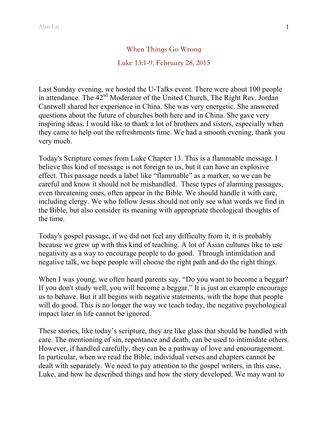When Things Go Wrong

## Luke 13:1-9, February 28, 2015

Last Sunday evening, we hosted the U-Talks event. There were about 100 people in attendance. The 42<sup>nd</sup> Moderator of the United Church, The Right Rev. Jordan Cantwell shared her experience in China. She was very energetic. She answered questions about the future of churches both here and in China. She gave very inspiring ideas. I would like to thank a lot of brothers and sisters, especially when they came to help out the refreshments time. We had a smooth evening, thank you very much.

Today's Scripture comes from Luke Chapter 13. This is a flammable message. I believe this kind of message is not foreign to us, but it can have an explosive effect. This passage needs a label like "flammable" as a marker, so we can be careful and know it should not be mishandled. These types of alarming passages, even threatening ones, often appear in the Bible. We should handle it with care, including clergy. We who follow Jesus should not only see what words we find in the Bible, but also consider its meaning with appropriate theological thoughts of the time.

Today's gospel passage, if we did not feel any difficulty from it, it is probably because we grew up with this kind of teaching. A lot of Asian cultures like to use negativity as a way to encourage people to do good. Through intimidation and negative talk, we hope people will choose the right path and do the right things.

When I was young, we often heard parents say, "Do you want to become a beggar? If you don't study well, you will become a beggar." It is just an example encourage us to behave. But it all begins with negative statements, with the hope that people will do good. This is no longer the way we teach today, the negative psychological impact later in life cannot be ignored.

These stories, like today's scripture, they are like glass that should be handled with care. The mentioning of sin, repentance and death, can be used to intimidate others. However, if handled carefully, they can be a pathway of love and encouragement. In particular, when we read the Bible, individual verses and chapters cannot be dealt with separately. We need to pay attention to the gospel writers, in this case, Luke, and how he described things and how the story developed. We may want to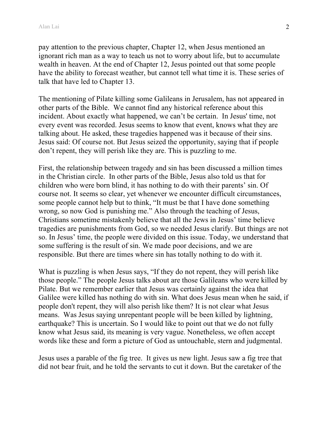pay attention to the previous chapter, Chapter 12, when Jesus mentioned an ignorant rich man as a way to teach us not to worry about life, but to accumulate wealth in heaven. At the end of Chapter 12, Jesus pointed out that some people have the ability to forecast weather, but cannot tell what time it is. These series of talk that have led to Chapter 13.

The mentioning of Pilate killing some Galileans in Jerusalem, has not appeared in other parts of the Bible. We cannot find any historical reference about this incident. About exactly what happened, we can't be certain. In Jesus' time, not every event was recorded. Jesus seems to know that event, knows what they are talking about. He asked, these tragedies happened was it because of their sins. Jesus said: Of course not. But Jesus seized the opportunity, saying that if people don't repent, they will perish like they are. This is puzzling to me.

First, the relationship between tragedy and sin has been discussed a million times in the Christian circle. In other parts of the Bible, Jesus also told us that for children who were born blind, it has nothing to do with their parents' sin. Of course not. It seems so clear, yet whenever we encounter difficult circumstances, some people cannot help but to think, "It must be that I have done something wrong, so now God is punishing me." Also through the teaching of Jesus, Christians sometime mistakenly believe that all the Jews in Jesus' time believe tragedies are punishments from God, so we needed Jesus clarify. But things are not so. In Jesus' time, the people were divided on this issue. Today, we understand that some suffering is the result of sin. We made poor decisions, and we are responsible. But there are times where sin has totally nothing to do with it.

What is puzzling is when Jesus says, "If they do not repent, they will perish like those people." The people Jesus talks about are those Galileans who were killed by Pilate. But we remember earlier that Jesus was certainly against the idea that Galilee were killed has nothing do with sin. What does Jesus mean when he said, if people don't repent, they will also perish like them? It is not clear what Jesus means. Was Jesus saying unrepentant people will be been killed by lightning, earthquake? This is uncertain. So I would like to point out that we do not fully know what Jesus said, its meaning is very vague. Nonetheless, we often accept words like these and form a picture of God as untouchable, stern and judgmental.

Jesus uses a parable of the fig tree. It gives us new light. Jesus saw a fig tree that did not bear fruit, and he told the servants to cut it down. But the caretaker of the